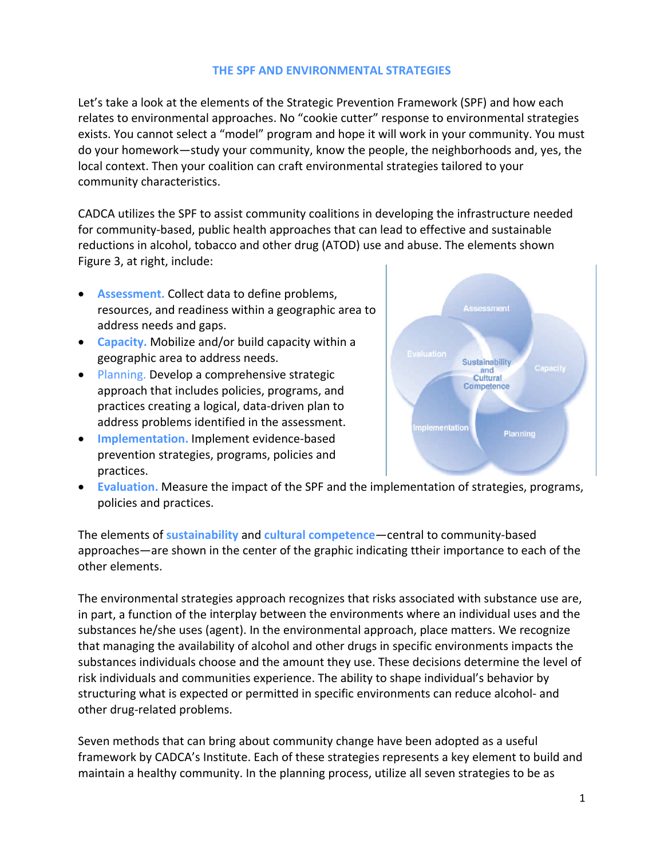## **THE SPF AND ENVIRONMENTAL STRATEGIES**

Let's take a look at the elements of the Strategic Prevention Framework (SPF) and how each relates to environmental approaches. No "cookie cutter" response to environmental strategies exists. You cannot select a "model" program and hope it will work in your community. You must do your homework—study your community, know the people, the neighborhoods and, yes, the local context. Then your coalition can craft environmental strategies tailored to your community characteristics.

CADCA utilizes the SPF to assist community coalitions in developing the infrastructure needed for community‐based, public health approaches that can lead to effective and sustainable reductions in alcohol, tobacco and other drug (ATOD) use and abuse. The elements shown Figure 3, at right, include:

- **Assessment.** Collect data to define problems, resources, and readiness within a geographic area to address needs and gaps.
- **Capacity.** Mobilize and/or build capacity within a geographic area to address needs.
- Planning. Develop a comprehensive strategic approach that includes policies, programs, and practices creating a logical, data‐driven plan to address problems identified in the assessment.
- **Implementation.** Implement evidence-based prevention strategies, programs, policies and practices.



 **Evaluation.** Measure the impact of the SPF and the implementation of strategies, programs, policies and practices.

The elements of **sustainability** and **cultural competence**—central to community‐based approaches—are shown in the center of the graphic indicating ttheir importance to each of the other elements.

The environmental strategies approach recognizes that risks associated with substance use are, in part, a function of the interplay between the environments where an individual uses and the substances he/she uses (agent). In the environmental approach, place matters. We recognize that managing the availability of alcohol and other drugs in specific environments impacts the substances individuals choose and the amount they use. These decisions determine the level of risk individuals and communities experience. The ability to shape individual's behavior by structuring what is expected or permitted in specific environments can reduce alcohol‐ and other drug‐related problems.

Seven methods that can bring about community change have been adopted as a useful framework by CADCA's Institute. Each of these strategies represents a key element to build and maintain a healthy community. In the planning process, utilize all seven strategies to be as